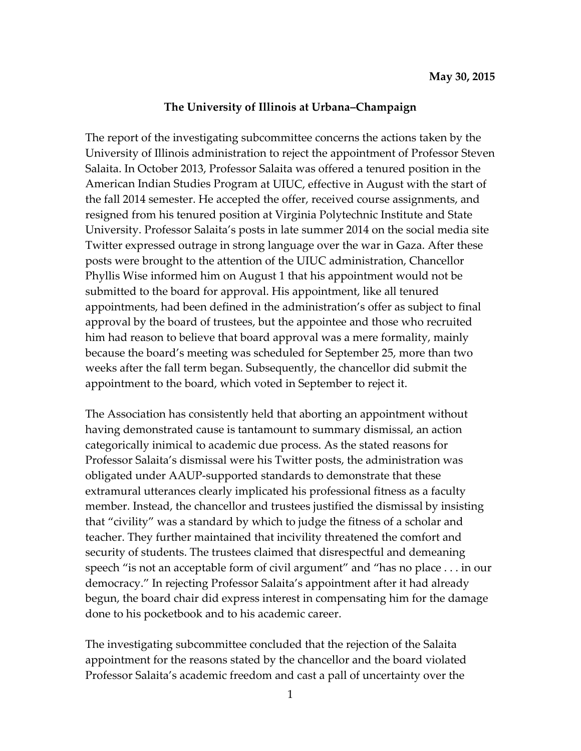## **The University of Illinois at Urbana–Champaign**

The report of the investigating subcommittee concerns the actions taken by the University of Illinois administration to reject the appointment of Professor Steven Salaita. In October 2013, Professor Salaita was offered a tenured position in the American Indian Studies Program at UIUC, effective in August with the start of the fall 2014 semester. He accepted the offer, received course assignments, and resigned from his tenured position at Virginia Polytechnic Institute and State University. Professor Salaita's posts in late summer 2014 on the social media site Twitter expressed outrage in strong language over the war in Gaza. After these posts were brought to the attention of the UIUC administration, Chancellor Phyllis Wise informed him on August 1 that his appointment would not be submitted to the board for approval. His appointment, like all tenured appointments, had been defined in the administration's offer as subject to final approval by the board of trustees, but the appointee and those who recruited him had reason to believe that board approval was a mere formality, mainly because the board's meeting was scheduled for September 25, more than two weeks after the fall term began. Subsequently, the chancellor did submit the appointment to the board, which voted in September to reject it.

The Association has consistently held that aborting an appointment without having demonstrated cause is tantamount to summary dismissal, an action categorically inimical to academic due process. As the stated reasons for Professor Salaita's dismissal were his Twitter posts, the administration was obligated under AAUP‐supported standards to demonstrate that these extramural utterances clearly implicated his professional fitness as a faculty member. Instead, the chancellor and trustees justified the dismissal by insisting that "civility" was a standard by which to judge the fitness of a scholar and teacher. They further maintained that incivility threatened the comfort and security of students. The trustees claimed that disrespectful and demeaning speech "is not an acceptable form of civil argument" and "has no place . . . in our democracy." In rejecting Professor Salaita's appointment after it had already begun, the board chair did express interest in compensating him for the damage done to his pocketbook and to his academic career.

The investigating subcommittee concluded that the rejection of the Salaita appointment for the reasons stated by the chancellor and the board violated Professor Salaita's academic freedom and cast a pall of uncertainty over the